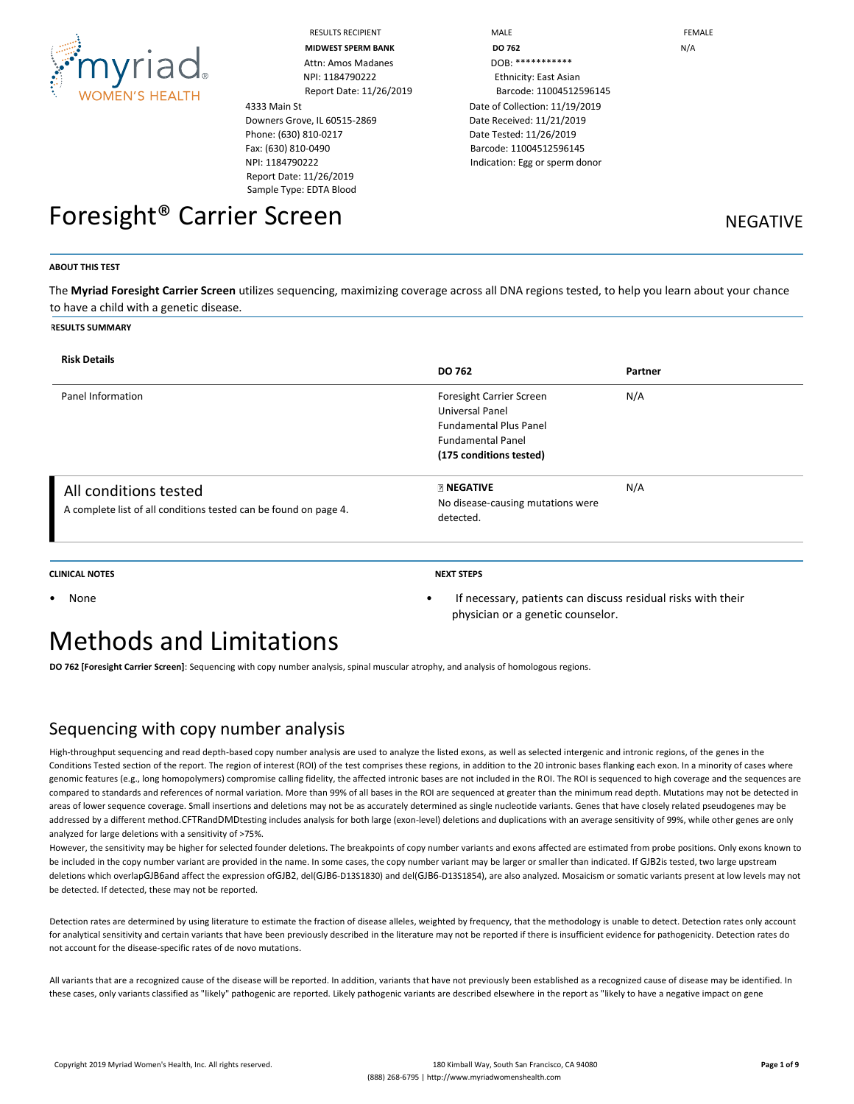

| <b>RESULTS RECIPIENT</b> |
|--------------------------|
| MIDWEST SPERM RAN        |

4333 Main St Downers Grove, IL 60515-2869 Phone: (630) 810-0217 Fax: (630) 810-0490 NPI: 1184790222 Report Date: 11/26/2019 Sample Type: EDTA Blood

RESULTS RECIPIENT **And Internal Contract Contract Contract Contract Contract Contract Contract Contract Contract Contract Contract Contract Contract Contract Contract Contract Contract Contract Contract Contract Contract C MIDWEST SPERM BANK DO 762** N/A Report Date: 11/26/2019 Barcode: 11004512596145 Date of Collection: 11/19/2019 Date Received: 11/21/2019 Date Tested: 11/26/2019 Barcode: 11004512596145 Indication: Egg or sperm donor

Foresight<sup>®</sup> Carrier Screen Negative NEGATIVE

### **ABOUT THIS TEST**

The **Myriad Foresight Carrier Screen** utilizes sequencing, maximizing coverage across all DNA regions tested, to help you learn about your chance to have a child with a genetic disease.

#### **RESULTS SUMMARY**

| <b>Risk Details</b>                                                                       | <b>DO 762</b>                                                                                                                       | Partner |
|-------------------------------------------------------------------------------------------|-------------------------------------------------------------------------------------------------------------------------------------|---------|
| Panel Information                                                                         | Foresight Carrier Screen<br>Universal Panel<br><b>Fundamental Plus Panel</b><br><b>Fundamental Panel</b><br>(175 conditions tested) | N/A     |
| All conditions tested<br>A complete list of all conditions tested can be found on page 4. | <b>RINEGATIVE</b><br>No disease-causing mutations were<br>detected.                                                                 | N/A     |

**CLINICAL NOTES NEXT STEPS**

physician or a genetic counselor.

• None • If necessary, patients can discuss residual risks with their

# Methods and Limitations

**DO 762 [Foresight Carrier Screen]**: Sequencing with copy number analysis, spinal muscular atrophy, and analysis of homologous regions.

## Sequencing with copy number analysis

High-throughput sequencing and read depth-based copy number analysis are used to analyze the listed exons, as well as selected intergenic and intronic regions, of the genes in the Conditions Tested section of the report. The region of interest (ROI) of the test comprises these regions, in addition to the 20 intronic bases flanking each exon. In a minority of cases where genomic features (e.g., long homopolymers) compromise calling fidelity, the affected intronic bases are not included in the ROI. The ROI is sequenced to high coverage and the sequences are compared to standards and references of normal variation. More than 99% of all bases in the ROI are sequenced at greater than the minimum read depth. Mutations may not be detected in areas of lower sequence coverage. Small insertions and deletions may not be as accurately determined as single nucleotide variants. Genes that have closely related pseudogenes may be addressed by a different method.CFTRandDMDtesting includes analysis for both large (exon-level) deletions and duplications with an average sensitivity of 99%, while other genes are only analyzed for large deletions with a sensitivity of >75%.

However, the sensitivity may be higher for selected founder deletions. The breakpoints of copy number variants and exons affected are estimated from probe positions. Only exons known to be included in the copy number variant are provided in the name. In some cases, the copy number variant may be larger or smaller than indicated. If GJB2is tested, two large upstream deletions which overlapGJB6and affect the expression ofGJB2, del(GJB6-D13S1830) and del(GJB6-D13S1854), are also analyzed. Mosaicism or somatic variants present at low levels may not be detected. If detected, these may not be reported.

Detection rates are determined by using literature to estimate the fraction of disease alleles, weighted by frequency, that the methodology is unable to detect. Detection rates only account for analytical sensitivity and certain variants that have been previously described in the literature may not be reported if there is insufficient evidence for pathogenicity. Detection rates do not account for the disease-specific rates of de novo mutations.

All variants that are a recognized cause of the disease will be reported. In addition, variants that have not previously been established as a recognized cause of disease may be identified. In these cases, only variants classified as "likely" pathogenic are reported. Likely pathogenic variants are described elsewhere in the report as "likely to have a negative impact on gene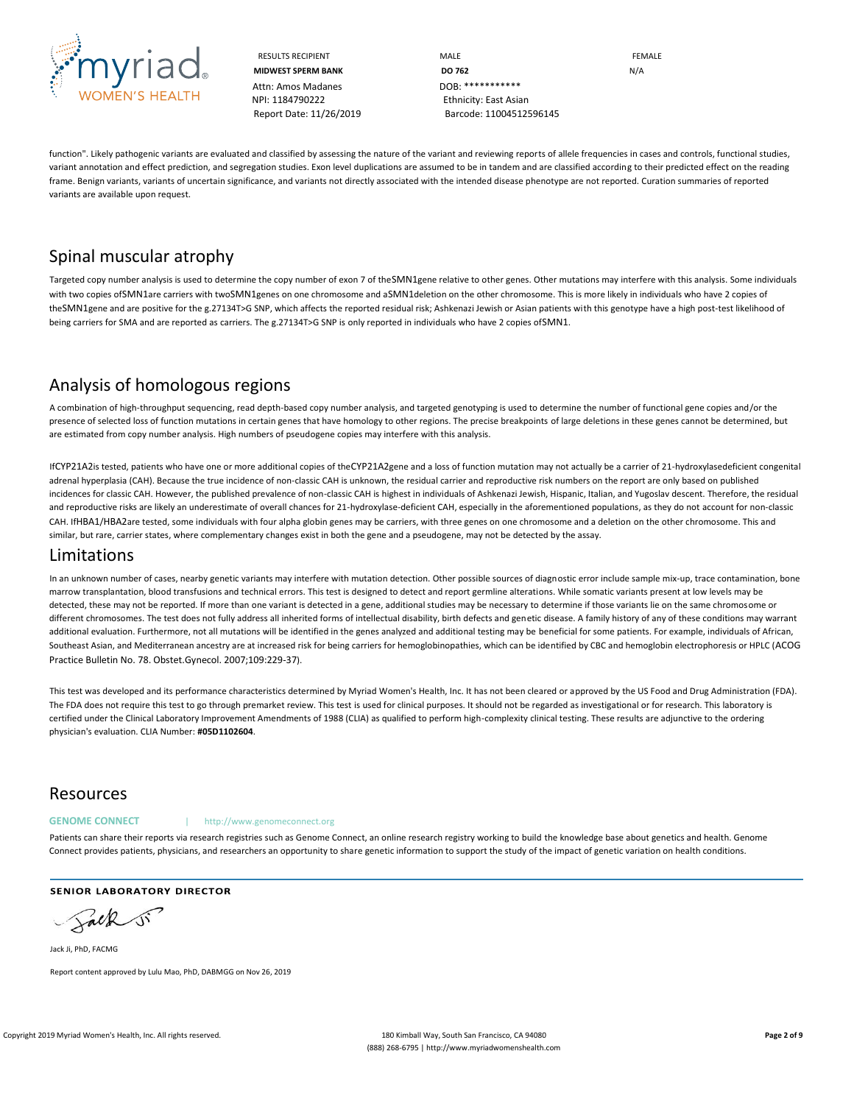

RESULTS RECIPIENT **MALE MALE EDUCATE MIDWEST SPERM BANK DO 762** N/A Report Date: 11/26/2019 Barcode: 11004512596145

function". Likely pathogenic variants are evaluated and classified by assessing the nature of the variant and reviewing reports of allele frequencies in cases and controls, functional studies, variant annotation and effect prediction, and segregation studies. Exon level duplications are assumed to be in tandem and are classified according to their predicted effect on the reading frame. Benign variants, variants of uncertain significance, and variants not directly associated with the intended disease phenotype are not reported. Curation summaries of reported variants are available upon request.

# Spinal muscular atrophy

Targeted copy number analysis is used to determine the copy number of exon 7 of theSMN1gene relative to other genes. Other mutations may interfere with this analysis. Some individuals with two copies ofSMN1are carriers with twoSMN1genes on one chromosome and aSMN1deletion on the other chromosome. This is more likely in individuals who have 2 copies of theSMN1gene and are positive for the g.27134T>G SNP, which affects the reported residual risk; Ashkenazi Jewish or Asian patients with this genotype have a high post-test likelihood of being carriers for SMA and are reported as carriers. The g.27134T>G SNP is only reported in individuals who have 2 copies ofSMN1.

# Analysis of homologous regions

A combination of high-throughput sequencing, read depth-based copy number analysis, and targeted genotyping is used to determine the number of functional gene copies and/or the presence of selected loss of function mutations in certain genes that have homology to other regions. The precise breakpoints of large deletions in these genes cannot be determined, but are estimated from copy number analysis. High numbers of pseudogene copies may interfere with this analysis.

IfCYP21A2is tested, patients who have one or more additional copies of theCYP21A2gene and a loss of function mutation may not actually be a carrier of 21-hydroxylasedeficient congenital adrenal hyperplasia (CAH). Because the true incidence of non-classic CAH is unknown, the residual carrier and reproductive risk numbers on the report are only based on published incidences for classic CAH. However, the published prevalence of non-classic CAH is highest in individuals of Ashkenazi Jewish, Hispanic, Italian, and Yugoslav descent. Therefore, the residual and reproductive risks are likely an underestimate of overall chances for 21-hydroxylase-deficient CAH, especially in the aforementioned populations, as they do not account for non-classic CAH. IfHBA1/HBA2are tested, some individuals with four alpha globin genes may be carriers, with three genes on one chromosome and a deletion on the other chromosome. This and similar, but rare, carrier states, where complementary changes exist in both the gene and a pseudogene, may not be detected by the assay.

## Limitations

In an unknown number of cases, nearby genetic variants may interfere with mutation detection. Other possible sources of diagnostic error include sample mix-up, trace contamination, bone marrow transplantation, blood transfusions and technical errors. This test is designed to detect and report germline alterations. While somatic variants present at low levels may be detected, these may not be reported. If more than one variant is detected in a gene, additional studies may be necessary to determine if those variants lie on the same chromosome or different chromosomes. The test does not fully address all inherited forms of intellectual disability, birth defects and genetic disease. A family history of any of these conditions may warrant additional evaluation. Furthermore, not all mutations will be identified in the genes analyzed and additional testing may be beneficial for some patients. For example, individuals of African, Southeast Asian, and Mediterranean ancestry are at increased risk for being carriers for hemoglobinopathies, which can be identified by CBC and hemoglobin electrophoresis or HPLC (ACOG Practice Bulletin No. 78. Obstet.Gynecol. 2007;109:229-37).

This test was developed and its performance characteristics determined by Myriad Women's Health, Inc. It has not been cleared or approved by the US Food and Drug Administration (FDA). The FDA does not require this test to go through premarket review. This test is used for clinical purposes. It should not be regarded as investigational or for research. This laboratory is certified under the Clinical Laboratory Improvement Amendments of 1988 (CLIA) as qualified to perform high-complexity clinical testing. These results are adjunctive to the ordering physician's evaluation. CLIA Number: **#05D1102604**.

## Resources

#### **GENOME CONNECT** | http://www.genomeconnect.org

Patients can share their reports via research registries such as Genome Connect, an online research registry working to build the knowledge base about genetics and health. Genome Connect provides patients, physicians, and researchers an opportunity to share genetic information to support the study of the impact of genetic variation on health conditions.

**SENIOR LABORATORY DIRECTOR** 

Salk

Jack Ji, PhD, FACMG Report content approved by Lulu Mao, PhD, DABMGG on Nov 26, 2019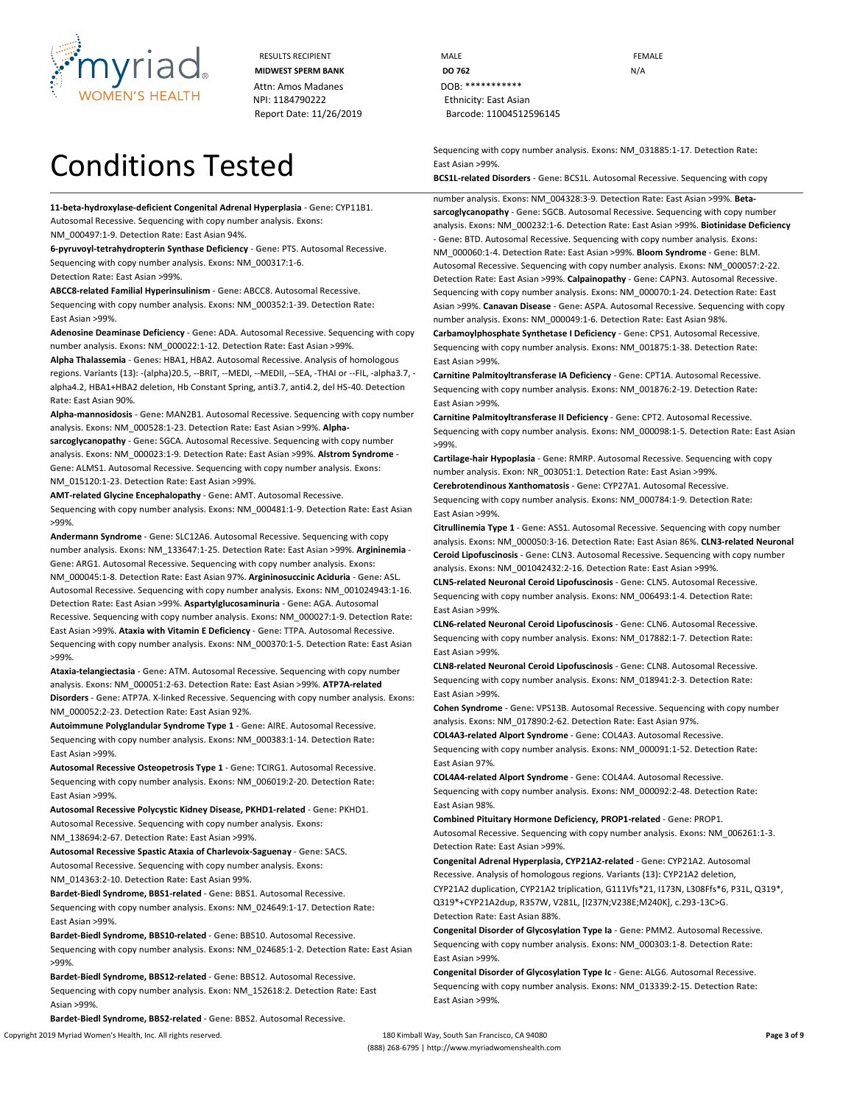

# Conditions Tested

**11-beta-hydroxylase-deficient Congenital Adrenal Hyperplasia** - **Gene:** CYP11B1. Autosomal Recessive. Sequencing with copy number analysis. **Exons:**

NM\_000497:1-9. **Detection Rate:** East Asian 94%.

**6-pyruvoyl-tetrahydropterin Synthase Deficiency** - **Gene:** PTS. Autosomal Recessive. Sequencing with copy number analysis. **Exons:** NM\_000317:1-6. **Detection Rate:** East Asian >99%.

**ABCC8-related Familial Hyperinsulinism** - **Gene:** ABCC8. Autosomal Recessive. Sequencing with copy number analysis. **Exons:** NM\_000352:1-39. **Detection Rate:** East Asian >99%.

**Adenosine Deaminase Deficiency** - **Gene:** ADA. Autosomal Recessive. Sequencing with copy number analysis. **Exons:** NM\_000022:1-12. **Detection Rate:** East Asian >99%.

**Alpha Thalassemia** - **Genes:** HBA1, HBA2. Autosomal Recessive. Analysis of homologous regions. **Variants (13):** -(alpha)20.5, --BRIT, --MEDI, --MEDII, --SEA, -THAI or --FIL, -alpha3.7, alpha4.2, HBA1+HBA2 deletion, Hb Constant Spring, anti3.7, anti4.2, del HS-40. **Detection Rate:** East Asian 90%.

**Alpha-mannosidosis** - **Gene:** MAN2B1. Autosomal Recessive. Sequencing with copy number analysis. **Exons:** NM\_000528:1-23. **Detection Rate:** East Asian >99%. **Alphasarcoglycanopathy** - **Gene:** SGCA. Autosomal Recessive. Sequencing with copy number

analysis. **Exons:** NM\_000023:1-9. **Detection Rate:** East Asian >99%. **Alstrom Syndrome** - **Gene:** ALMS1. Autosomal Recessive. Sequencing with copy number analysis. **Exons:**  NM\_015120:1-23. **Detection Rate:** East Asian >99%.

**AMT-related Glycine Encephalopathy** - **Gene:** AMT. Autosomal Recessive. Sequencing with copy number analysis. **Exons:** NM\_000481:1-9. **Detection Rate:** East Asian >99%.

**Andermann Syndrome** - **Gene:** SLC12A6. Autosomal Recessive. Sequencing with copy number analysis. **Exons:** NM\_133647:1-25. **Detection Rate:** East Asian >99%. **Argininemia** - **Gene:** ARG1. Autosomal Recessive. Sequencing with copy number analysis. **Exons:**  NM\_000045:1-8. **Detection Rate:** East Asian 97%. **Argininosuccinic Aciduria** - **Gene:** ASL. Autosomal Recessive. Sequencing with copy number analysis. **Exons:** NM\_001024943:1-16. **Detection Rate:** East Asian >99%. **Aspartylglucosaminuria** - **Gene:** AGA. Autosomal Recessive. Sequencing with copy number analysis. **Exons:** NM\_000027:1-9. **Detection Rate:**  East Asian >99%. **Ataxia with Vitamin E Deficiency** - **Gene:** TTPA. Autosomal Recessive. Sequencing with copy number analysis. **Exons:** NM\_000370:1-5. **Detection Rate:** East Asian >99%.

**Ataxia-telangiectasia** - **Gene:** ATM. Autosomal Recessive. Sequencing with copy number analysis. **Exons:** NM\_000051:2-63. **Detection Rate:** East Asian >99%. **ATP7A-related Disorders** - **Gene:** ATP7A. X-linked Recessive. Sequencing with copy number analysis. **Exons:**  NM\_000052:2-23. **Detection Rate:** East Asian 92%.

**Autoimmune Polyglandular Syndrome Type 1** - **Gene:** AIRE. Autosomal Recessive. Sequencing with copy number analysis. **Exons:** NM\_000383:1-14. **Detection Rate:** East Asian >99%.

**Autosomal Recessive Osteopetrosis Type 1** - **Gene:** TCIRG1. Autosomal Recessive. Sequencing with copy number analysis. **Exons:** NM\_006019:2-20. **Detection Rate:** East Asian >99%.

**Autosomal Recessive Polycystic Kidney Disease, PKHD1-related** - **Gene:** PKHD1. Autosomal Recessive. Sequencing with copy number analysis. **Exons:** NM\_138694:2-67. **Detection Rate:** East Asian >99%.

**Autosomal Recessive Spastic Ataxia of Charlevoix-Saguenay** - **Gene:** SACS. Autosomal Recessive. Sequencing with copy number analysis. **Exons:** NM\_014363:2-10. **Detection Rate:** East Asian 99%.

**Bardet-Biedl Syndrome, BBS1-related** - **Gene:** BBS1. Autosomal Recessive. Sequencing with copy number analysis. **Exons:** NM\_024649:1-17. **Detection Rate:** East Asian >99%.

**Bardet-Biedl Syndrome, BBS10-related** - **Gene:** BBS10. Autosomal Recessive. Sequencing with copy number analysis. **Exons:** NM\_024685:1-2. **Detection Rate:** East Asian >99%.

**Bardet-Biedl Syndrome, BBS12-related** - **Gene:** BBS12. Autosomal Recessive. Sequencing with copy number analysis. **Exon:** NM\_152618:2. **Detection Rate:** East Asian >99%.

**Bardet-Biedl Syndrome, BBS2-related** - **Gene:** BBS2. Autosomal Recessive.

RESULTS RECIPIENT **MALE MALE EXAMPLE MIDWEST SPERM BANK DO 762** N/A Report Date: 11/26/2019 Barcode: 11004512596145

> Sequencing with copy number analysis. **Exons:** NM\_031885:1-17. **Detection Rate:** East Asian >99%.

**BCS1L-related Disorders** - **Gene:** BCS1L. Autosomal Recessive. Sequencing with copy

number analysis. **Exons:** NM\_004328:3-9. **Detection Rate:** East Asian >99%. **Betasarcoglycanopathy** - **Gene:** SGCB. Autosomal Recessive. Sequencing with copy number analysis. **Exons:** NM\_000232:1-6. **Detection Rate:** East Asian >99%. **Biotinidase Deficiency**  - **Gene:** BTD. Autosomal Recessive. Sequencing with copy number analysis. **Exons:**  NM\_000060:1-4. **Detection Rate:** East Asian >99%. **Bloom Syndrome** - **Gene:** BLM. Autosomal Recessive. Sequencing with copy number analysis. **Exons:** NM\_000057:2-22. **Detection Rate:** East Asian >99%. **Calpainopathy** - **Gene:** CAPN3. Autosomal Recessive. Sequencing with copy number analysis. **Exons:** NM\_000070:1-24. **Detection Rate:** East Asian >99%. **Canavan Disease** - **Gene:** ASPA. Autosomal Recessive. Sequencing with copy number analysis. **Exons:** NM\_000049:1-6. **Detection Rate:** East Asian 98%. **Carbamoylphosphate Synthetase I Deficiency** - **Gene:** CPS1. Autosomal Recessive. Sequencing with copy number analysis. **Exons:** NM\_001875:1-38. **Detection Rate:** East Asian >99%.

**Carnitine Palmitoyltransferase IA Deficiency** - **Gene:** CPT1A. Autosomal Recessive. Sequencing with copy number analysis. **Exons:** NM\_001876:2-19. **Detection Rate:** East Asian >99%.

**Carnitine Palmitoyltransferase II Deficiency** - **Gene:** CPT2. Autosomal Recessive. Sequencing with copy number analysis. **Exons:** NM\_000098:1-5. **Detection Rate:** East Asian >99%.

**Cartilage-hair Hypoplasia** - **Gene:** RMRP. Autosomal Recessive. Sequencing with copy number analysis. **Exon:** NR\_003051:1. **Detection Rate:** East Asian >99%. **Cerebrotendinous Xanthomatosis** - **Gene:** CYP27A1. Autosomal Recessive.

Sequencing with copy number analysis. **Exons:** NM\_000784:1-9. **Detection Rate:** East Asian >99%.

**Citrullinemia Type 1** - **Gene:** ASS1. Autosomal Recessive. Sequencing with copy number analysis. **Exons:** NM\_000050:3-16. **Detection Rate:** East Asian 86%. **CLN3-related Neuronal Ceroid Lipofuscinosis** - **Gene:** CLN3. Autosomal Recessive. Sequencing with copy number analysis. **Exons:** NM\_001042432:2-16. **Detection Rate:** East Asian >99%.

**CLN5-related Neuronal Ceroid Lipofuscinosis** - **Gene:** CLN5. Autosomal Recessive. Sequencing with copy number analysis. **Exons:** NM\_006493:1-4. **Detection Rate:** East Asian >99%.

**CLN6-related Neuronal Ceroid Lipofuscinosis** - **Gene:** CLN6. Autosomal Recessive. Sequencing with copy number analysis. **Exons:** NM\_017882:1-7. **Detection Rate:** East Asian >99%.

**CLN8-related Neuronal Ceroid Lipofuscinosis** - **Gene:** CLN8. Autosomal Recessive. Sequencing with copy number analysis. **Exons:** NM\_018941:2-3. **Detection Rate:** East Asian >99%.

**Cohen Syndrome** - **Gene:** VPS13B. Autosomal Recessive. Sequencing with copy number analysis. **Exons:** NM\_017890:2-62. **Detection Rate:** East Asian 97%.

**COL4A3-related Alport Syndrome** - **Gene:** COL4A3. Autosomal Recessive. Sequencing with copy number analysis. **Exons:** NM\_000091:1-52. **Detection Rate:** East Asian 97%.

**COL4A4-related Alport Syndrome** - **Gene:** COL4A4. Autosomal Recessive. Sequencing with copy number analysis. **Exons:** NM\_000092:2-48. **Detection Rate:** East Asian 98%.

**Combined Pituitary Hormone Deficiency, PROP1-related** - **Gene:** PROP1. Autosomal Recessive. Sequencing with copy number analysis. **Exons:** NM\_006261:1-3. **Detection Rate:** East Asian >99%.

**Congenital Adrenal Hyperplasia, CYP21A2-related** - **Gene:** CYP21A2. Autosomal Recessive. Analysis of homologous regions. **Variants (13):** CYP21A2 deletion, CYP21A2 duplication, CYP21A2 triplication, G111Vfs\*21, I173N, L308Ffs\*6, P31L, Q319\*, Q319\*+CYP21A2dup, R357W, V281L, [I237N;V238E;M240K], c.293-13C>G. **Detection Rate:** East Asian 88%.

**Congenital Disorder of Glycosylation Type Ia** - **Gene:** PMM2. Autosomal Recessive. Sequencing with copy number analysis. **Exons:** NM\_000303:1-8. **Detection Rate:** East Asian >99%.

**Congenital Disorder of Glycosylation Type Ic** - **Gene:** ALG6. Autosomal Recessive. Sequencing with copy number analysis. **Exons:** NM\_013339:2-15. **Detection Rate:** East Asian >99%.

Copyright 2019 Myriad Women's Health, Inc. All rights reserved. 180 Kimball Way, South San Francisco, CA 94080 **Page 3 of 9** (888) 268-6795 | http://www.myriadwomenshealth.com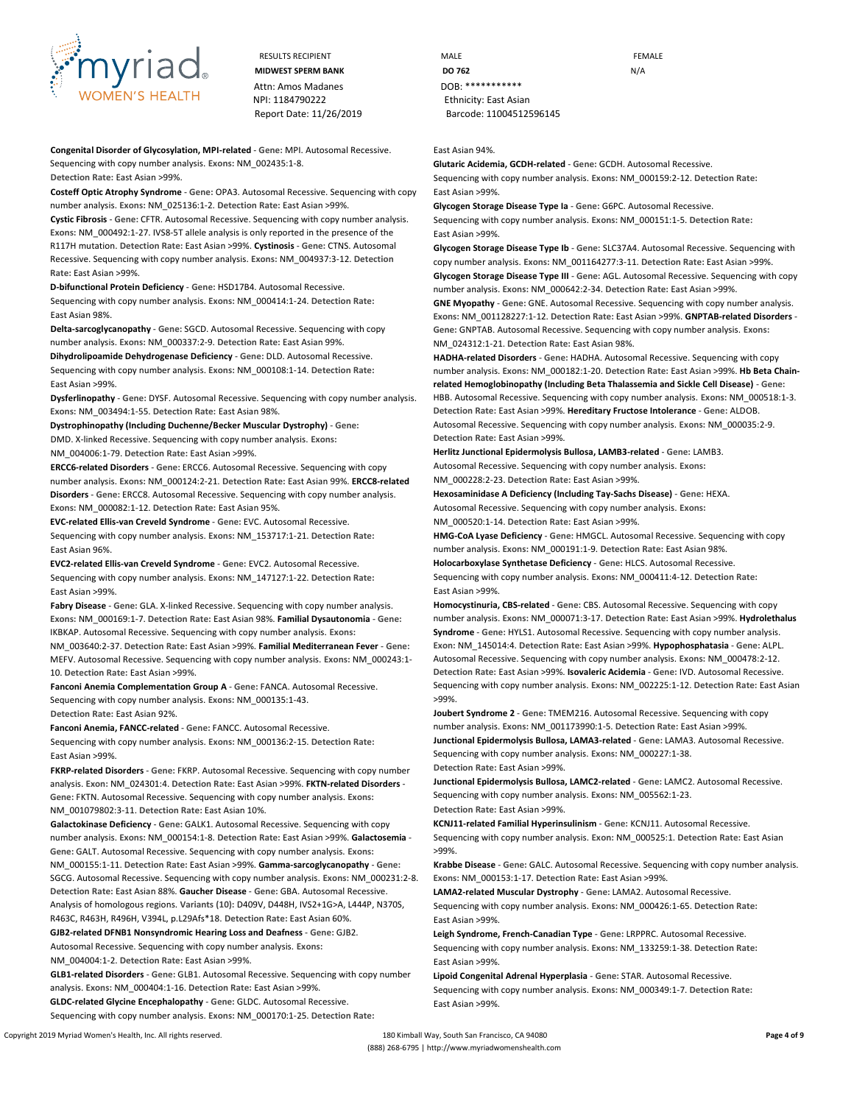

RESULTS RECIPIENT **MALE MALE EXAMPLE** Attn: Amos Madanes DOB: \*\*\*\*\*\*\*\*\*\*\*\* NPI: 1184790222 Ethnicity: East Asian Report Date: 11/26/2019 Barcode: 11004512596145

**Congenital Disorder of Glycosylation, MPI-related** - **Gene:** MPI. Autosomal Recessive. Sequencing with copy number analysis. **Exons:** NM\_002435:1-8. **Detection Rate:** East Asian >99%.

**Costeff Optic Atrophy Syndrome** - **Gene:** OPA3. Autosomal Recessive. Sequencing with copy number analysis. **Exons:** NM\_025136:1-2. **Detection Rate:** East Asian >99%.

**Cystic Fibrosis** - **Gene:** CFTR. Autosomal Recessive. Sequencing with copy number analysis. **Exons:** NM\_000492:1-27. IVS8-5T allele analysis is only reported in the presence of the R117H mutation. **Detection Rate:** East Asian >99%. **Cystinosis** - **Gene:** CTNS. Autosomal Recessive. Sequencing with copy number analysis. **Exons:** NM\_004937:3-12. **Detection Rate:** East Asian >99%.

**D-bifunctional Protein Deficiency** - **Gene:** HSD17B4. Autosomal Recessive.

Sequencing with copy number analysis. **Exons:** NM\_000414:1-24. **Detection Rate:** East Asian 98%.

**Delta-sarcoglycanopathy** - **Gene:** SGCD. Autosomal Recessive. Sequencing with copy number analysis. **Exons:** NM\_000337:2-9. **Detection Rate:** East Asian 99%.

**Dihydrolipoamide Dehydrogenase Deficiency** - **Gene:** DLD. Autosomal Recessive. Sequencing with copy number analysis. **Exons:** NM\_000108:1-14. **Detection Rate:** East Asian >99%.

**Dysferlinopathy** - **Gene:** DYSF. Autosomal Recessive. Sequencing with copy number analysis. **Exons:** NM\_003494:1-55. **Detection Rate:** East Asian 98%.

**Dystrophinopathy (Including Duchenne/Becker Muscular Dystrophy)** - **Gene:**

DMD. X-linked Recessive. Sequencing with copy number analysis. **Exons:** NM\_004006:1-79. **Detection Rate:** East Asian >99%.

**ERCC6-related Disorders** - **Gene:** ERCC6. Autosomal Recessive. Sequencing with copy number analysis. **Exons:** NM\_000124:2-21. **Detection Rate:** East Asian 99%. **ERCC8-related Disorders** - **Gene:** ERCC8. Autosomal Recessive. Sequencing with copy number analysis. **Exons:** NM\_000082:1-12. **Detection Rate:** East Asian 95%.

**EVC-related Ellis-van Creveld Syndrome** - **Gene:** EVC. Autosomal Recessive.

Sequencing with copy number analysis. **Exons:** NM\_153717:1-21. **Detection Rate:** East Asian 96%.

**EVC2-related Ellis-van Creveld Syndrome** - **Gene:** EVC2. Autosomal Recessive. Sequencing with copy number analysis. **Exons:** NM\_147127:1-22. **Detection Rate:** East Asian >99%.

**Fabry Disease** - **Gene:** GLA. X-linked Recessive. Sequencing with copy number analysis. **Exons:** NM\_000169:1-7. **Detection Rate:** East Asian 98%. **Familial Dysautonomia** - **Gene:**  IKBKAP. Autosomal Recessive. Sequencing with copy number analysis. **Exons:**  NM\_003640:2-37. **Detection Rate:** East Asian >99%. **Familial Mediterranean Fever** - **Gene:**  MEFV. Autosomal Recessive. Sequencing with copy number analysis. **Exons:** NM\_000243:1- 10. **Detection Rate:** East Asian >99%.

**Fanconi Anemia Complementation Group A** - **Gene:** FANCA. Autosomal Recessive. Sequencing with copy number analysis. **Exons:** NM\_000135:1-43. **Detection Rate:** East Asian 92%.

**Fanconi Anemia, FANCC-related** - **Gene:** FANCC. Autosomal Recessive. Sequencing with copy number analysis. **Exons:** NM\_000136:2-15. **Detection Rate:** East Asian >99%.

**FKRP-related Disorders** - **Gene:** FKRP. Autosomal Recessive. Sequencing with copy number analysis. **Exon:** NM\_024301:4. **Detection Rate:** East Asian >99%. **FKTN-related Disorders** - **Gene:** FKTN. Autosomal Recessive. Sequencing with copy number analysis. **Exons:**  NM\_001079802:3-11. **Detection Rate:** East Asian 10%.

**Galactokinase Deficiency** - **Gene:** GALK1. Autosomal Recessive. Sequencing with copy number analysis. **Exons:** NM\_000154:1-8. **Detection Rate:** East Asian >99%. **Galactosemia** - **Gene:** GALT. Autosomal Recessive. Sequencing with copy number analysis. **Exons:**  NM\_000155:1-11. **Detection Rate:** East Asian >99%. **Gamma-sarcoglycanopathy** - **Gene:**  SGCG. Autosomal Recessive. Sequencing with copy number analysis. **Exons:** NM\_000231:2-8. **Detection Rate:** East Asian 88%. **Gaucher Disease** - **Gene:** GBA. Autosomal Recessive. Analysis of homologous regions. **Variants (10):** D409V, D448H, IVS2+1G>A, L444P, N370S, R463C, R463H, R496H, V394L, p.L29Afs\*18. **Detection Rate:** East Asian 60%. **GJB2-related DFNB1 Nonsyndromic Hearing Loss and Deafness** - **Gene:** GJB2.

Autosomal Recessive. Sequencing with copy number analysis. **Exons:**

NM\_004004:1-2. **Detection Rate:** East Asian >99%.

**GLB1-related Disorders** - **Gene:** GLB1. Autosomal Recessive. Sequencing with copy number analysis. **Exons:** NM\_000404:1-16. **Detection Rate:** East Asian >99%.

**GLDC-related Glycine Encephalopathy** - **Gene:** GLDC. Autosomal Recessive.

Sequencing with copy number analysis. **Exons:** NM\_000170:1-25. **Detection Rate:**

**MIDWEST SPERM BANK DO 762** N/A

East Asian 94%.

**Glutaric Acidemia, GCDH-related** - **Gene:** GCDH. Autosomal Recessive. Sequencing with copy number analysis. **Exons:** NM\_000159:2-12. **Detection Rate:** East Asian >99%.

**Glycogen Storage Disease Type Ia** - **Gene:** G6PC. Autosomal Recessive. Sequencing with copy number analysis. **Exons:** NM\_000151:1-5. **Detection Rate:** East Asian >99%.

**Glycogen Storage Disease Type Ib** - **Gene:** SLC37A4. Autosomal Recessive. Sequencing with copy number analysis. **Exons:** NM\_001164277:3-11. **Detection Rate:** East Asian >99%. **Glycogen Storage Disease Type III** - **Gene:** AGL. Autosomal Recessive. Sequencing with copy

number analysis. **Exons:** NM\_000642:2-34. **Detection Rate:** East Asian >99%.

**GNE Myopathy** - **Gene:** GNE. Autosomal Recessive. Sequencing with copy number analysis. **Exons:** NM\_001128227:1-12. **Detection Rate:** East Asian >99%. **GNPTAB-related Disorders** - **Gene:** GNPTAB. Autosomal Recessive. Sequencing with copy number analysis. **Exons:**  NM\_024312:1-21. **Detection Rate:** East Asian 98%.

**HADHA-related Disorders** - **Gene:** HADHA. Autosomal Recessive. Sequencing with copy number analysis. **Exons:** NM\_000182:1-20. **Detection Rate:** East Asian >99%. **Hb Beta Chainrelated Hemoglobinopathy (Including Beta Thalassemia and Sickle Cell Disease)** - **Gene:**  HBB. Autosomal Recessive. Sequencing with copy number analysis. **Exons:** NM\_000518:1-3. **Detection Rate:** East Asian >99%. **Hereditary Fructose Intolerance** - **Gene:** ALDOB. Autosomal Recessive. Sequencing with copy number analysis. **Exons:** NM\_000035:2-9. **Detection Rate:** East Asian >99%.

**Herlitz Junctional Epidermolysis Bullosa, LAMB3-related** - **Gene:** LAMB3.

Autosomal Recessive. Sequencing with copy number analysis. **Exons:** NM\_000228:2-23. **Detection Rate:** East Asian >99%.

**Hexosaminidase A Deficiency (Including Tay-Sachs Disease)** - **Gene:** HEXA. Autosomal Recessive. Sequencing with copy number analysis. **Exons:** NM\_000520:1-14. **Detection Rate:** East Asian >99%.

**HMG-CoA Lyase Deficiency** - **Gene:** HMGCL. Autosomal Recessive. Sequencing with copy number analysis. **Exons:** NM\_000191:1-9. **Detection Rate:** East Asian 98%.

**Holocarboxylase Synthetase Deficiency** - **Gene:** HLCS. Autosomal Recessive. Sequencing with copy number analysis. **Exons:** NM\_000411:4-12. **Detection Rate:** East Asian >99%.

**Homocystinuria, CBS-related** - **Gene:** CBS. Autosomal Recessive. Sequencing with copy number analysis. **Exons:** NM\_000071:3-17. **Detection Rate:** East Asian >99%. **Hydrolethalus Syndrome** - **Gene:** HYLS1. Autosomal Recessive. Sequencing with copy number analysis. **Exon:** NM\_145014:4. **Detection Rate:** East Asian >99%. **Hypophosphatasia** - **Gene:** ALPL. Autosomal Recessive. Sequencing with copy number analysis. **Exons:** NM\_000478:2-12. **Detection Rate:** East Asian >99%. **Isovaleric Acidemia** - **Gene:** IVD. Autosomal Recessive. Sequencing with copy number analysis. **Exons:** NM\_002225:1-12. **Detection Rate:** East Asian >99%.

**Joubert Syndrome 2** - **Gene:** TMEM216. Autosomal Recessive. Sequencing with copy number analysis. **Exons:** NM\_001173990:1-5. **Detection Rate:** East Asian >99%. **Junctional Epidermolysis Bullosa, LAMA3-related** - **Gene:** LAMA3. Autosomal Recessive. Sequencing with copy number analysis. **Exons:** NM\_000227:1-38. **Detection Rate:** East Asian >99%.

**Junctional Epidermolysis Bullosa, LAMC2-related** - **Gene:** LAMC2. Autosomal Recessive. Sequencing with copy number analysis. **Exons:** NM\_005562:1-23. **Detection Rate:** East Asian >99%.

**KCNJ11-related Familial Hyperinsulinism** - **Gene:** KCNJ11. Autosomal Recessive. Sequencing with copy number analysis. **Exon:** NM\_000525:1. **Detection Rate:** East Asian >99%.

**Krabbe Disease** - **Gene:** GALC. Autosomal Recessive. Sequencing with copy number analysis. **Exons:** NM\_000153:1-17. **Detection Rate:** East Asian >99%.

**LAMA2-related Muscular Dystrophy** - **Gene:** LAMA2. Autosomal Recessive.

Sequencing with copy number analysis. **Exons:** NM\_000426:1-65. **Detection Rate:** East Asian >99%.

**Leigh Syndrome, French-Canadian Type** - **Gene:** LRPPRC. Autosomal Recessive. Sequencing with copy number analysis. **Exons:** NM\_133259:1-38. **Detection Rate:** East Asian >99%.

**Lipoid Congenital Adrenal Hyperplasia** - **Gene:** STAR. Autosomal Recessive. Sequencing with copy number analysis. **Exons:** NM\_000349:1-7. **Detection Rate:** East Asian >99%.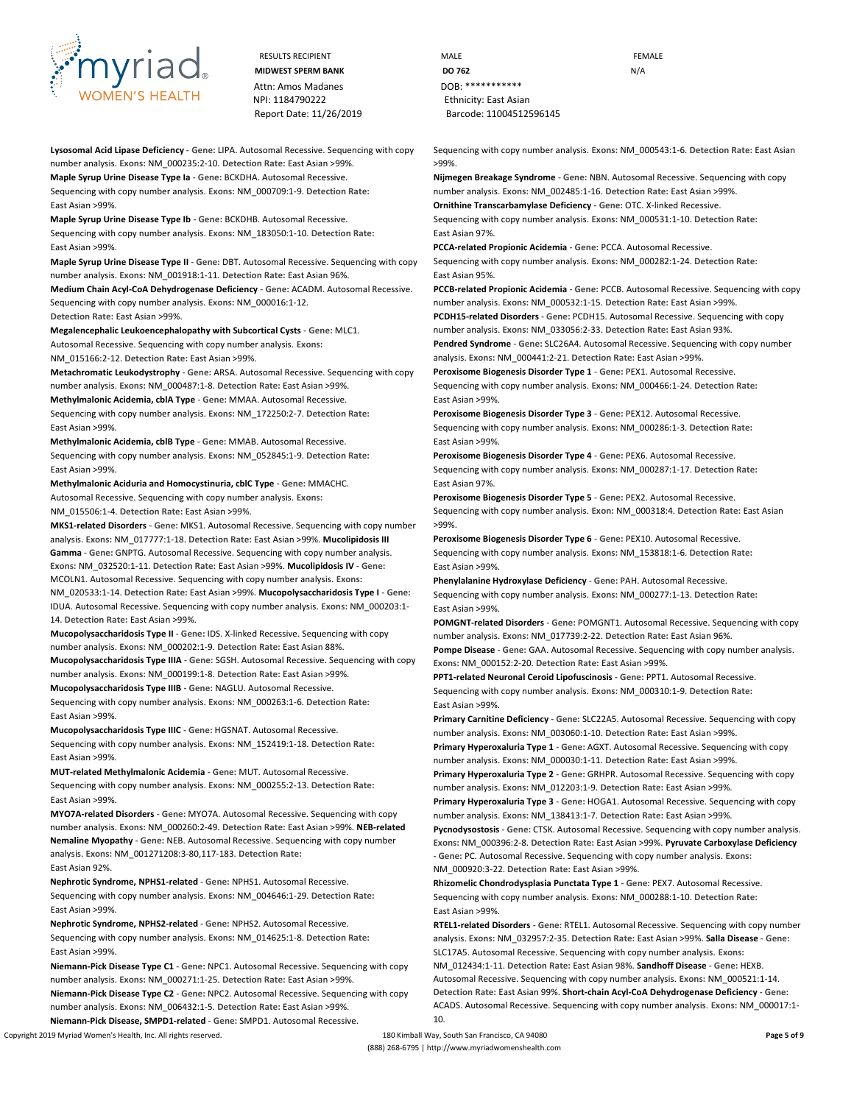

**Lysosomal Acid Lipase Deficiency** - **Gene:** LIPA. Autosomal Recessive. Sequencing with copy number analysis. **Exons:** NM\_000235:2-10. **Detection Rate:** East Asian >99%. **Maple Syrup Urine Disease Type Ia** - **Gene:** BCKDHA. Autosomal Recessive.

Sequencing with copy number analysis. **Exons:** NM\_000709:1-9. **Detection Rate:** East Asian >99%.

**Maple Syrup Urine Disease Type Ib** - **Gene:** BCKDHB. Autosomal Recessive. Sequencing with copy number analysis. **Exons:** NM\_183050:1-10. **Detection Rate:** East Asian >99%.

**Maple Syrup Urine Disease Type II** - **Gene:** DBT. Autosomal Recessive. Sequencing with copy number analysis. **Exons:** NM\_001918:1-11. **Detection Rate:** East Asian 96%.

**Medium Chain Acyl-CoA Dehydrogenase Deficiency** - **Gene:** ACADM. Autosomal Recessive. Sequencing with copy number analysis. **Exons:** NM\_000016:1-12. **Detection Rate:** East Asian >99%.

**Megalencephalic Leukoencephalopathy with Subcortical Cysts** - **Gene:** MLC1. Autosomal Recessive. Sequencing with copy number analysis. **Exons:** NM\_015166:2-12. **Detection Rate:** East Asian >99%.

**Metachromatic Leukodystrophy** - **Gene:** ARSA. Autosomal Recessive. Sequencing with copy number analysis. **Exons:** NM\_000487:1-8. **Detection Rate:** East Asian >99%.

**Methylmalonic Acidemia, cblA Type** - **Gene:** MMAA. Autosomal Recessive. Sequencing with copy number analysis. **Exons:** NM\_172250:2-7. **Detection Rate:** East Asian >99%.

**Methylmalonic Acidemia, cblB Type** - **Gene:** MMAB. Autosomal Recessive. Sequencing with copy number analysis. **Exons:** NM\_052845:1-9. **Detection Rate:** East Asian >99%.

**Methylmalonic Aciduria and Homocystinuria, cblC Type** - **Gene:** MMACHC. Autosomal Recessive. Sequencing with copy number analysis. **Exons:**

NM\_015506:1-4. **Detection Rate:** East Asian >99%.

**MKS1-related Disorders** - **Gene:** MKS1. Autosomal Recessive. Sequencing with copy number analysis. **Exons:** NM\_017777:1-18. **Detection Rate:** East Asian >99%. **Mucolipidosis III Gamma** - **Gene:** GNPTG. Autosomal Recessive. Sequencing with copy number analysis. **Exons:** NM\_032520:1-11. **Detection Rate:** East Asian >99%. **Mucolipidosis IV** - **Gene:**  MCOLN1. Autosomal Recessive. Sequencing with copy number analysis. **Exons:**  NM\_020533:1-14. **Detection Rate:** East Asian >99%. **Mucopolysaccharidosis Type I** - **Gene:**  IDUA. Autosomal Recessive. Sequencing with copy number analysis. **Exons:** NM\_000203:1- 14. **Detection Rate:** East Asian >99%.

**Mucopolysaccharidosis Type II** - **Gene:** IDS. X-linked Recessive. Sequencing with copy number analysis. **Exons:** NM\_000202:1-9. **Detection Rate:** East Asian 88%. **Mucopolysaccharidosis Type IIIA** - **Gene:** SGSH. Autosomal Recessive. Sequencing with copy number analysis. **Exons:** NM\_000199:1-8. **Detection Rate:** East Asian >99%.

**Mucopolysaccharidosis Type IIIB** - **Gene:** NAGLU. Autosomal Recessive.

Sequencing with copy number analysis. **Exons:** NM\_000263:1-6. **Detection Rate:** East Asian >99%.

**Mucopolysaccharidosis Type IIIC** - **Gene:** HGSNAT. Autosomal Recessive. Sequencing with copy number analysis. **Exons:** NM\_152419:1-18. **Detection Rate:** East Asian >99%.

**MUT-related Methylmalonic Acidemia** - **Gene:** MUT. Autosomal Recessive. Sequencing with copy number analysis. **Exons:** NM\_000255:2-13. **Detection Rate:** East Asian >99%.

**MYO7A-related Disorders** - **Gene:** MYO7A. Autosomal Recessive. Sequencing with copy number analysis. **Exons:** NM\_000260:2-49. **Detection Rate:** East Asian >99%. **NEB-related Nemaline Myopathy** - **Gene:** NEB. Autosomal Recessive. Sequencing with copy number analysis. **Exons:** NM\_001271208:3-80,117-183. **Detection Rate:** East Asian 92%.

**Nephrotic Syndrome, NPHS1-related** - **Gene:** NPHS1. Autosomal Recessive. Sequencing with copy number analysis. **Exons:** NM\_004646:1-29. **Detection Rate:** East Asian >99%.

**Nephrotic Syndrome, NPHS2-related** - **Gene:** NPHS2. Autosomal Recessive. Sequencing with copy number analysis. **Exons:** NM\_014625:1-8. **Detection Rate:** East Asian >99%.

**Niemann-Pick Disease Type C1** - **Gene:** NPC1. Autosomal Recessive. Sequencing with copy number analysis. **Exons:** NM\_000271:1-25. **Detection Rate:** East Asian >99%. **Niemann-Pick Disease Type C2** - **Gene:** NPC2. Autosomal Recessive. Sequencing with copy number analysis. **Exons:** NM\_006432:1-5. **Detection Rate:** East Asian >99%.

Copyright 2019 Myriad Women's Health, Inc. All rights reserved. 180 Kimball Way, South San Francisco, CA 94080 **Page 5 of 9 Niemann-Pick Disease, SMPD1-related** - **Gene:** SMPD1. Autosomal Recessive.

RESULTS RECIPIENT **MALE MALE EXAMPLE MIDWEST SPERM BANK DO 762** N/A Report Date: 11/26/2019 Barcode: 11004512596145

> Sequencing with copy number analysis. **Exons:** NM\_000543:1-6. **Detection Rate:** East Asian >99%.

**Nijmegen Breakage Syndrome** - **Gene:** NBN. Autosomal Recessive. Sequencing with copy number analysis. **Exons:** NM\_002485:1-16. **Detection Rate:** East Asian >99%. **Ornithine Transcarbamylase Deficiency** - **Gene:** OTC. X-linked Recessive.

Sequencing with copy number analysis. **Exons:** NM\_000531:1-10. **Detection Rate:** East Asian 97%.

**PCCA-related Propionic Acidemia** - **Gene:** PCCA. Autosomal Recessive. Sequencing with copy number analysis. **Exons:** NM\_000282:1-24. **Detection Rate:** East Asian 95%.

**PCCB-related Propionic Acidemia** - **Gene:** PCCB. Autosomal Recessive. Sequencing with copy number analysis. **Exons:** NM\_000532:1-15. **Detection Rate:** East Asian >99%. **PCDH15-related Disorders** - **Gene:** PCDH15. Autosomal Recessive. Sequencing with copy number analysis. **Exons:** NM\_033056:2-33. **Detection Rate:** East Asian 93%. **Pendred Syndrome** - **Gene:** SLC26A4. Autosomal Recessive. Sequencing with copy number

analysis. **Exons:** NM\_000441:2-21. **Detection Rate:** East Asian >99%. **Peroxisome Biogenesis Disorder Type 1** - **Gene:** PEX1. Autosomal Recessive.

Sequencing with copy number analysis. **Exons:** NM\_000466:1-24. **Detection Rate:** East Asian >99%.

**Peroxisome Biogenesis Disorder Type 3** - **Gene:** PEX12. Autosomal Recessive. Sequencing with copy number analysis. **Exons:** NM\_000286:1-3. **Detection Rate:** East Asian >99%.

**Peroxisome Biogenesis Disorder Type 4** - **Gene:** PEX6. Autosomal Recessive. Sequencing with copy number analysis. **Exons:** NM\_000287:1-17. **Detection Rate:** East Asian 97%.

**Peroxisome Biogenesis Disorder Type 5** - **Gene:** PEX2. Autosomal Recessive. Sequencing with copy number analysis. **Exon:** NM\_000318:4. **Detection Rate:** East Asian >99%.

**Peroxisome Biogenesis Disorder Type 6** - **Gene:** PEX10. Autosomal Recessive. Sequencing with copy number analysis. **Exons:** NM\_153818:1-6. **Detection Rate:** East Asian >99%.

**Phenylalanine Hydroxylase Deficiency** - **Gene:** PAH. Autosomal Recessive. Sequencing with copy number analysis. **Exons:** NM\_000277:1-13. **Detection Rate:** East Asian >99%.

**POMGNT-related Disorders** - **Gene:** POMGNT1. Autosomal Recessive. Sequencing with copy number analysis. **Exons:** NM\_017739:2-22. **Detection Rate:** East Asian 96%.

**Pompe Disease** - **Gene:** GAA. Autosomal Recessive. Sequencing with copy number analysis. **Exons:** NM\_000152:2-20. **Detection Rate:** East Asian >99%.

**PPT1-related Neuronal Ceroid Lipofuscinosis** - **Gene:** PPT1. Autosomal Recessive. Sequencing with copy number analysis. **Exons:** NM\_000310:1-9. **Detection Rate:** East Asian >99%.

**Primary Carnitine Deficiency** - **Gene:** SLC22A5. Autosomal Recessive. Sequencing with copy number analysis. **Exons:** NM\_003060:1-10. **Detection Rate:** East Asian >99%.

**Primary Hyperoxaluria Type 1** - **Gene:** AGXT. Autosomal Recessive. Sequencing with copy number analysis. **Exons:** NM\_000030:1-11. **Detection Rate:** East Asian >99%.

**Primary Hyperoxaluria Type 2** - **Gene:** GRHPR. Autosomal Recessive. Sequencing with copy number analysis. **Exons:** NM\_012203:1-9. **Detection Rate:** East Asian >99%.

**Primary Hyperoxaluria Type 3** - **Gene:** HOGA1. Autosomal Recessive. Sequencing with copy number analysis. **Exons:** NM\_138413:1-7. **Detection Rate:** East Asian >99%.

**Pycnodysostosis** - **Gene:** CTSK. Autosomal Recessive. Sequencing with copy number analysis. **Exons:** NM\_000396:2-8. **Detection Rate:** East Asian >99%. **Pyruvate Carboxylase Deficiency**  - **Gene:** PC. Autosomal Recessive. Sequencing with copy number analysis. **Exons:**  NM\_000920:3-22. **Detection Rate:** East Asian >99%.

**Rhizomelic Chondrodysplasia Punctata Type 1** - **Gene:** PEX7. Autosomal Recessive. Sequencing with copy number analysis. **Exons:** NM\_000288:1-10. **Detection Rate:** East Asian >99%.

**RTEL1-related Disorders** - **Gene:** RTEL1. Autosomal Recessive. Sequencing with copy number analysis. **Exons:** NM\_032957:2-35. **Detection Rate:** East Asian >99%. **Salla Disease** - **Gene:**  SLC17A5. Autosomal Recessive. Sequencing with copy number analysis. **Exons:**  NM\_012434:1-11. **Detection Rate:** East Asian 98%. **Sandhoff Disease** - **Gene:** HEXB. Autosomal Recessive. Sequencing with copy number analysis. **Exons:** NM\_000521:1-14. **Detection Rate:** East Asian 99%. **Short-chain Acyl-CoA Dehydrogenase Deficiency** - **Gene:**  ACADS. Autosomal Recessive. Sequencing with copy number analysis. **Exons:** NM\_000017:1- 10.

(888) 268-6795 | http://www.myriadwomenshealth.com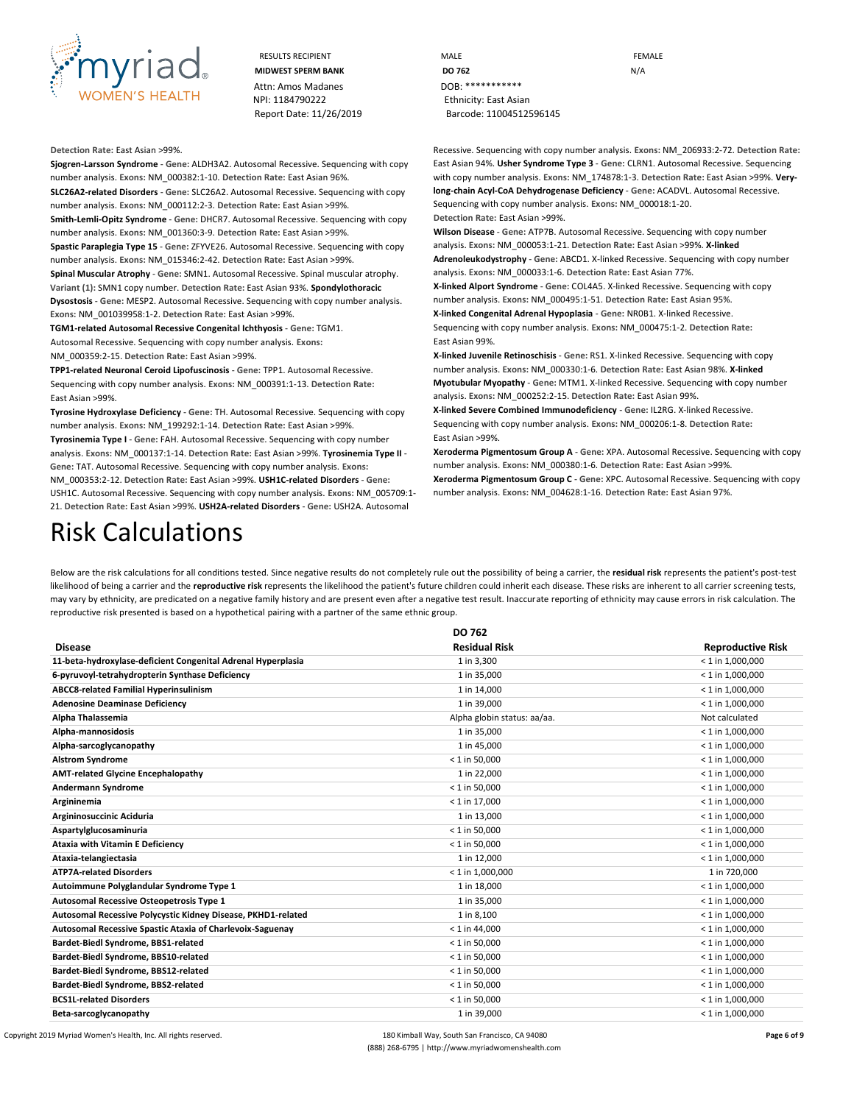

#### **Detection Rate:** East Asian >99%.

**Sjogren-Larsson Syndrome** - **Gene:** ALDH3A2. Autosomal Recessive. Sequencing with copy number analysis. **Exons:** NM\_000382:1-10. **Detection Rate:** East Asian 96%. **SLC26A2-related Disorders** - **Gene:** SLC26A2. Autosomal Recessive. Sequencing with copy number analysis. **Exons:** NM\_000112:2-3. **Detection Rate:** East Asian >99%. **Smith-Lemli-Opitz Syndrome** - **Gene:** DHCR7. Autosomal Recessive. Sequencing with copy number analysis. **Exons:** NM\_001360:3-9. **Detection Rate:** East Asian >99%. **Spastic Paraplegia Type 15** - **Gene:** ZFYVE26. Autosomal Recessive. Sequencing with copy number analysis. **Exons:** NM\_015346:2-42. **Detection Rate:** East Asian >99%. **Spinal Muscular Atrophy** - **Gene:** SMN1. Autosomal Recessive. Spinal muscular atrophy. **Variant (1):** SMN1 copy number. **Detection Rate:** East Asian 93%. **Spondylothoracic** 

**Dysostosis** - **Gene:** MESP2. Autosomal Recessive. Sequencing with copy number analysis. **Exons:** NM\_001039958:1-2. **Detection Rate:** East Asian >99%.

**TGM1-related Autosomal Recessive Congenital Ichthyosis** - **Gene:** TGM1. Autosomal Recessive. Sequencing with copy number analysis. **Exons:**

NM\_000359:2-15. **Detection Rate:** East Asian >99%.

**TPP1-related Neuronal Ceroid Lipofuscinosis** - **Gene:** TPP1. Autosomal Recessive. Sequencing with copy number analysis. **Exons:** NM\_000391:1-13. **Detection Rate:** East Asian >99%.

**Tyrosine Hydroxylase Deficiency** - **Gene:** TH. Autosomal Recessive. Sequencing with copy number analysis. **Exons:** NM\_199292:1-14. **Detection Rate:** East Asian >99%.

**Tyrosinemia Type I** - **Gene:** FAH. Autosomal Recessive. Sequencing with copy number analysis. **Exons:** NM\_000137:1-14. **Detection Rate:** East Asian >99%. **Tyrosinemia Type II** - **Gene:** TAT. Autosomal Recessive. Sequencing with copy number analysis. **Exons:**  NM\_000353:2-12. **Detection Rate:** East Asian >99%. **USH1C-related Disorders** - **Gene:**  USH1C. Autosomal Recessive. Sequencing with copy number analysis. **Exons:** NM\_005709:1- 21. **Detection Rate:** East Asian >99%. **USH2A-related Disorders** - **Gene:** USH2A. Autosomal

Recessive. Sequencing with copy number analysis. **Exons:** NM\_206933:2-72. **Detection Rate:**  East Asian 94%. **Usher Syndrome Type 3** - **Gene:** CLRN1. Autosomal Recessive. Sequencing with copy number analysis. **Exons:** NM\_174878:1-3. **Detection Rate:** East Asian >99%. **Verylong-chain Acyl-CoA Dehydrogenase Deficiency** - **Gene:** ACADVL. Autosomal Recessive. Sequencing with copy number analysis. **Exons:** NM\_000018:1-20.

**Detection Rate:** East Asian >99%.

**Wilson Disease** - **Gene:** ATP7B. Autosomal Recessive. Sequencing with copy number analysis. **Exons:** NM\_000053:1-21. **Detection Rate:** East Asian >99%. **X-linked Adrenoleukodystrophy** - **Gene:** ABCD1. X-linked Recessive. Sequencing with copy number analysis. **Exons:** NM\_000033:1-6. **Detection Rate:** East Asian 77%.

**X-linked Alport Syndrome** - **Gene:** COL4A5. X-linked Recessive. Sequencing with copy number analysis. **Exons:** NM\_000495:1-51. **Detection Rate:** East Asian 95%.

**X-linked Congenital Adrenal Hypoplasia** - **Gene:** NR0B1. X-linked Recessive. Sequencing with copy number analysis. **Exons:** NM\_000475:1-2. **Detection Rate:** East Asian 99%.

**X-linked Juvenile Retinoschisis** - **Gene:** RS1. X-linked Recessive. Sequencing with copy number analysis. **Exons:** NM\_000330:1-6. **Detection Rate:** East Asian 98%. **X-linked Myotubular Myopathy** - **Gene:** MTM1. X-linked Recessive. Sequencing with copy number analysis. **Exons:** NM\_000252:2-15. **Detection Rate:** East Asian 99%.

**X-linked Severe Combined Immunodeficiency** - **Gene:** IL2RG. X-linked Recessive. Sequencing with copy number analysis. **Exons:** NM\_000206:1-8. **Detection Rate:** East Asian >99%.

**Xeroderma Pigmentosum Group A** - **Gene:** XPA. Autosomal Recessive. Sequencing with copy number analysis. **Exons:** NM\_000380:1-6. **Detection Rate:** East Asian >99%.

**Xeroderma Pigmentosum Group C** - **Gene:** XPC. Autosomal Recessive. Sequencing with copy number analysis. **Exons:** NM\_004628:1-16. **Detection Rate:** East Asian 97%.

# Risk Calculations

Below are the risk calculations for all conditions tested. Since negative results do not completely rule out the possibility of being a carrier, the **residual risk** represents the patient's post-test likelihood of being a carrier and the reproductive risk represents the likelihood the patient's future children could inherit each disease. These risks are inherent to all carrier screening tests, may vary by ethnicity, are predicated on a negative family history and are present even after a negative test result. Inaccurate reporting of ethnicity may cause errors in risk calculation. The reproductive risk presented is based on a hypothetical pairing with a partner of the same ethnic group.

|                                                              | DO 762                      |                          |  |
|--------------------------------------------------------------|-----------------------------|--------------------------|--|
| <b>Disease</b>                                               | <b>Residual Risk</b>        | <b>Reproductive Risk</b> |  |
| 11-beta-hydroxylase-deficient Congenital Adrenal Hyperplasia | 1 in 3,300                  | $< 1$ in 1,000,000       |  |
| 6-pyruvoyl-tetrahydropterin Synthase Deficiency              | 1 in 35,000                 | $< 1$ in 1,000,000       |  |
| <b>ABCC8-related Familial Hyperinsulinism</b>                | 1 in 14,000                 | $< 1$ in 1,000,000       |  |
| <b>Adenosine Deaminase Deficiency</b>                        | 1 in 39,000                 | $< 1$ in 1,000,000       |  |
| Alpha Thalassemia                                            | Alpha globin status: aa/aa. | Not calculated           |  |
| Alpha-mannosidosis                                           | 1 in 35,000                 | $< 1$ in 1,000,000       |  |
| Alpha-sarcoglycanopathy                                      | 1 in 45,000                 | $< 1$ in 1,000,000       |  |
| <b>Alstrom Syndrome</b>                                      | $< 1$ in 50,000             | $<$ 1 in 1,000,000       |  |
| <b>AMT-related Glycine Encephalopathy</b>                    | 1 in 22,000                 | $< 1$ in 1,000,000       |  |
| <b>Andermann Syndrome</b>                                    | $< 1$ in 50,000             | $<$ 1 in 1,000,000       |  |
| Argininemia                                                  | $< 1$ in 17,000             | $<$ 1 in 1,000,000       |  |
| Argininosuccinic Aciduria                                    | 1 in 13,000                 | $<$ 1 in 1,000,000       |  |
| Aspartylglucosaminuria                                       | $< 1$ in 50,000             | $< 1$ in 1,000,000       |  |
| <b>Ataxia with Vitamin E Deficiency</b>                      | $< 1$ in 50,000             | $< 1$ in 1,000,000       |  |
| Ataxia-telangiectasia                                        | 1 in 12,000                 | $< 1$ in 1,000,000       |  |
| <b>ATP7A-related Disorders</b>                               | $< 1$ in 1,000,000          | 1 in 720,000             |  |
| Autoimmune Polyglandular Syndrome Type 1                     | 1 in 18,000                 | $< 1$ in 1,000,000       |  |
| Autosomal Recessive Osteopetrosis Type 1                     | 1 in 35,000                 | $<$ 1 in 1,000,000       |  |
| Autosomal Recessive Polycystic Kidney Disease, PKHD1-related | 1 in 8,100                  | $< 1$ in 1,000,000       |  |
| Autosomal Recessive Spastic Ataxia of Charlevoix-Saguenay    | $< 1$ in 44,000             | $< 1$ in 1,000,000       |  |
| Bardet-Biedl Syndrome, BBS1-related                          | $< 1$ in 50,000             | $<$ 1 in 1,000,000       |  |
| Bardet-Biedl Syndrome, BBS10-related                         | $< 1$ in 50,000             | $< 1$ in 1,000,000       |  |
| Bardet-Biedl Syndrome, BBS12-related                         | $< 1$ in 50,000             | $<$ 1 in 1,000,000       |  |
| Bardet-Biedl Syndrome, BBS2-related                          | $< 1$ in 50,000             | $<$ 1 in 1,000,000       |  |
| <b>BCS1L-related Disorders</b>                               | $<$ 1 in 50.000             | $< 1$ in 1,000,000       |  |
| Beta-sarcoglycanopathy                                       | 1 in 39,000                 | $<$ 1 in 1.000.000       |  |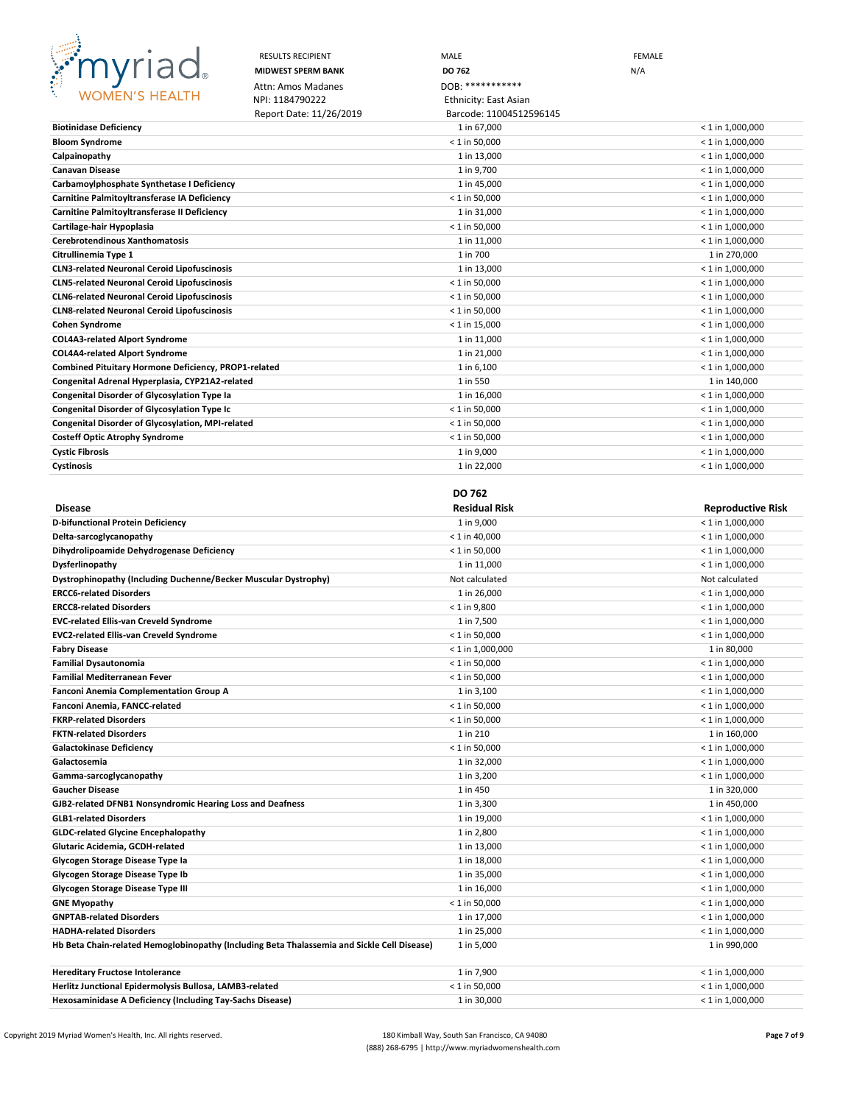

|                                                                                     | <b>RESULTS RECIPIENT</b>  | MALE                         | <b>FEMALE</b>                |
|-------------------------------------------------------------------------------------|---------------------------|------------------------------|------------------------------|
|                                                                                     | <b>MIDWEST SPERM BANK</b> | DO 762                       | N/A                          |
| <b>CONSTRUCTION</b>                                                                 | Attn: Amos Madanes        | DOB: ************            |                              |
| <b>WOMEN'S HEALTH</b>                                                               | NPI: 1184790222           | <b>Ethnicity: East Asian</b> |                              |
|                                                                                     | Report Date: 11/26/2019   | Barcode: 11004512596145      |                              |
| <b>Biotinidase Deficiency</b>                                                       |                           | 1 in 67,000                  | $<$ 1 in 1,000,000           |
| <b>Bloom Syndrome</b>                                                               |                           | $<$ 1 in 50,000              | $<$ 1 in 1,000,000           |
| Calpainopathy                                                                       |                           | 1 in 13,000                  | $<$ 1 in 1,000,000           |
| <b>Canavan Disease</b>                                                              |                           | 1 in 9,700                   | $<$ 1 in 1,000,000           |
| Carbamoylphosphate Synthetase I Deficiency                                          |                           | 1 in 45,000                  | $<$ 1 in 1,000,000           |
| Carnitine Palmitoyltransferase IA Deficiency                                        |                           | $<$ 1 in 50,000              | $<$ 1 in 1,000,000           |
| Carnitine Palmitoyltransferase II Deficiency                                        |                           | 1 in 31,000                  | $<$ 1 in 1,000,000           |
| Cartilage-hair Hypoplasia                                                           |                           | $<$ 1 in 50,000              | $<$ 1 in 1,000,000           |
| <b>Cerebrotendinous Xanthomatosis</b>                                               |                           | 1 in 11,000                  | $<$ 1 in 1,000,000           |
| Citrullinemia Type 1                                                                |                           | 1 in 700                     | 1 in 270,000                 |
| <b>CLN3-related Neuronal Ceroid Lipofuscinosis</b>                                  |                           | 1 in 13,000                  | $<$ 1 in 1,000,000           |
| <b>CLN5-related Neuronal Ceroid Lipofuscinosis</b>                                  |                           | $< 1$ in 50,000              | $<$ 1 in 1,000,000           |
| <b>CLN6-related Neuronal Ceroid Lipofuscinosis</b>                                  |                           | $<$ 1 in 50,000              | $<$ 1 in 1,000,000           |
| <b>CLN8-related Neuronal Ceroid Lipofuscinosis</b>                                  |                           | $<$ 1 in 50,000              | $<$ 1 in 1,000,000           |
| <b>Cohen Syndrome</b>                                                               |                           | $< 1$ in 15,000              | $<$ 1 in 1,000,000           |
| <b>COL4A3-related Alport Syndrome</b>                                               |                           | 1 in 11,000                  | $<$ 1 in 1,000,000           |
| <b>COL4A4-related Alport Syndrome</b>                                               |                           | 1 in 21,000                  | $<$ 1 in 1,000,000           |
| Combined Pituitary Hormone Deficiency, PROP1-related                                |                           | 1 in 6,100                   | $<$ 1 in 1,000,000           |
| Congenital Adrenal Hyperplasia, CYP21A2-related                                     |                           | 1 in 550                     | 1 in 140,000                 |
| Congenital Disorder of Glycosylation Type Ia                                        |                           | 1 in 16,000                  | $<$ 1 in 1,000,000           |
| <b>Congenital Disorder of Glycosylation Type Ic</b>                                 |                           | $< 1$ in 50,000              | $<$ 1 in 1,000,000           |
| Congenital Disorder of Glycosylation, MPI-related                                   |                           | $<$ 1 in 50,000              | $<$ 1 in 1,000,000           |
| <b>Costeff Optic Atrophy Syndrome</b>                                               |                           | $<$ 1 in 50,000              | $<$ 1 in 1,000,000           |
| <b>Cystic Fibrosis</b>                                                              |                           | 1 in 9,000                   | $<$ 1 in 1,000,000           |
| Cystinosis                                                                          |                           | 1 in 22,000                  | $<$ 1 in 1,000,000           |
|                                                                                     |                           |                              |                              |
|                                                                                     |                           | <b>DO 762</b>                |                              |
| <b>Disease</b>                                                                      |                           | <b>Residual Risk</b>         | <b>Reproductive Risk</b>     |
| D-bifunctional Protein Deficiency                                                   |                           | 1 in 9,000                   | $< 1$ in 1,000,000           |
| Delta-sarcoglycanopathy                                                             |                           | $< 1$ in 40,000              | $<$ 1 in 1,000,000           |
| Dihydrolipoamide Dehydrogenase Deficiency                                           |                           | $<$ 1 in 50,000              | $<$ 1 in 1,000,000           |
| Dysferlinopathy                                                                     |                           | 1 in 11,000                  | $< 1$ in 1,000,000           |
| Dystrophinopathy (Including Duchenne/Becker Muscular Dystrophy)                     |                           | Not calculated               | Not calculated               |
| <b>ERCC6-related Disorders</b>                                                      |                           | 1 in 26,000                  | $<$ 1 in 1,000,000           |
| <b>ERCC8-related Disorders</b>                                                      |                           | $< 1$ in 9,800               | $< 1$ in 1,000,000           |
| <b>EVC-related Ellis-van Creveld Syndrome</b>                                       |                           | 1 in 7,500                   | $<$ 1 in 1,000,000           |
| <b>EVC2-related Ellis-van Creveld Syndrome</b>                                      |                           | $< 1$ in 50,000              | $<$ 1 in 1,000,000           |
| <b>Fabry Disease</b>                                                                |                           | $< 1$ in 1,000,000           | 1 in 80,000                  |
| <b>Familial Dysautonomia</b>                                                        |                           | $< 1$ in 50,000              | $<$ 1 in 1,000,000           |
| Familial Mediterranean Fever                                                        |                           | $< 1$ in 50,000              | $< 1$ in 1,000,000           |
| <b>Fanconi Anemia Complementation Group A</b>                                       |                           | 1 in 3,100                   | $< 1$ in 1,000,000           |
| Fanconi Anemia, FANCC-related                                                       |                           | $< 1$ in 50,000              | $<$ 1 in 1,000,000           |
| <b>FKRP-related Disorders</b>                                                       |                           | $< 1$ in 50,000              | $<$ 1 in 1,000,000           |
| <b>FKTN-related Disorders</b>                                                       |                           | 1 in 210                     | 1 in 160,000                 |
| <b>Galactokinase Deficiency</b>                                                     |                           | $< 1$ in 50,000              | $< 1$ in 1,000,000           |
| Galactosemia                                                                        |                           | 1 in 32,000                  | $< 1$ in 1,000,000           |
| Gamma-sarcoglycanopathy                                                             |                           | 1 in 3,200                   | $< 1$ in 1,000,000           |
|                                                                                     |                           |                              |                              |
| <b>Gaucher Disease</b><br>GJB2-related DFNB1 Nonsyndromic Hearing Loss and Deafness |                           | 1 in 450<br>1 in 3,300       | 1 in 320,000<br>1 in 450,000 |

| Glycogen Storage Disease Type Ib                                                            | 1 in 35,000     | $<$ 1 in 1,000,000 |
|---------------------------------------------------------------------------------------------|-----------------|--------------------|
| Glycogen Storage Disease Type III                                                           | 1 in 16.000     | $<$ 1 in 1,000,000 |
| <b>GNE Myopathy</b>                                                                         | $< 1$ in 50,000 | $< 1$ in 1,000,000 |
| <b>GNPTAB-related Disorders</b>                                                             | 1 in 17.000     | $< 1$ in 1,000,000 |
| <b>HADHA-related Disorders</b>                                                              | 1 in 25,000     | $<$ 1 in 1,000,000 |
| Hb Beta Chain-related Hemoglobinopathy (Including Beta Thalassemia and Sickle Cell Disease) | 1 in 5.000      | 1 in 990.000       |
| <b>Hereditary Fructose Intolerance</b>                                                      | 1 in 7.900      | $<$ 1 in 1,000,000 |
|                                                                                             |                 |                    |
| Herlitz Junctional Epidermolysis Bullosa, LAMB3-related                                     | $<$ 1 in 50.000 | $< 1$ in 1,000,000 |
| Hexosaminidase A Deficiency (Including Tay-Sachs Disease)                                   | 1 in 30,000     | $< 1$ in 1,000,000 |
|                                                                                             |                 |                    |

**GLB1-related Disorders** 1 in 19,000 < 1 in 1,000,000 **GLDC-related Glycine Encephalopathy**  $1 \text{ in } 2,800$  < 1 in 1,000,000 **Glutaric Acidemia, GCDH-related** 1 in 13,000 < 1 in 1,000,000 **Glycogen Storage Disease Type Ia** 1 and the storage of the storage of the 18,000 and the storage  $\leq 1$  in 1,000,000 and the storage Disease Type Ia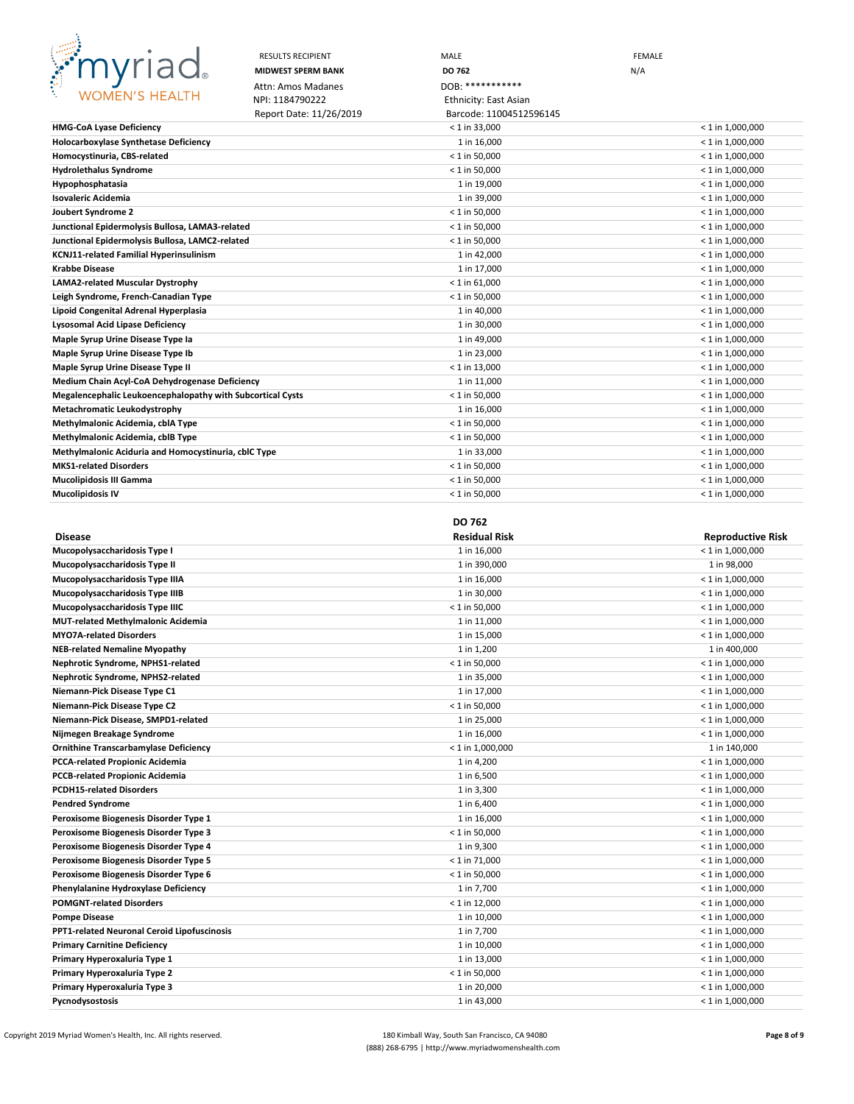

|                                                            | <b>RESULTS RECIPIENT</b>  | MALE                    | <b>FEMALE</b> |                    |
|------------------------------------------------------------|---------------------------|-------------------------|---------------|--------------------|
|                                                            | <b>MIDWEST SPERM BANK</b> | DO 762                  | N/A           |                    |
|                                                            | Attn: Amos Madanes        | DOB: ************       |               |                    |
| <b>WOMEN'S HEALTH</b>                                      | NPI: 1184790222           | Ethnicity: East Asian   |               |                    |
|                                                            | Report Date: 11/26/2019   | Barcode: 11004512596145 |               |                    |
| <b>HMG-CoA Lyase Deficiency</b>                            |                           | $< 1$ in 33,000         |               | $< 1$ in 1,000,000 |
| <b>Holocarboxylase Synthetase Deficiency</b>               |                           | 1 in 16,000             |               | $< 1$ in 1,000,000 |
| Homocystinuria, CBS-related                                |                           | $< 1$ in 50,000         |               | $< 1$ in 1,000,000 |
| <b>Hydrolethalus Syndrome</b>                              |                           | $< 1$ in 50,000         |               | $< 1$ in 1,000,000 |
| <b>Hypophosphatasia</b>                                    |                           | 1 in 19,000             |               | $<$ 1 in 1,000,000 |
| Isovaleric Acidemia                                        |                           | 1 in 39,000             |               | $< 1$ in 1,000,000 |
| Joubert Syndrome 2                                         |                           | $< 1$ in 50,000         |               | $< 1$ in 1,000,000 |
| Junctional Epidermolysis Bullosa, LAMA3-related            |                           | $< 1$ in 50,000         |               | $< 1$ in 1,000,000 |
| Junctional Epidermolysis Bullosa, LAMC2-related            |                           | $< 1$ in 50,000         |               | $< 1$ in 1,000,000 |
| KCNJ11-related Familial Hyperinsulinism                    |                           | 1 in 42,000             |               | $< 1$ in 1,000,000 |
| <b>Krabbe Disease</b>                                      |                           | 1 in 17,000             |               | $< 1$ in 1,000,000 |
| LAMA2-related Muscular Dystrophy                           |                           | $< 1$ in 61,000         |               | $< 1$ in 1,000,000 |
| Leigh Syndrome, French-Canadian Type                       |                           | $< 1$ in 50,000         |               | $< 1$ in 1,000,000 |
| Lipoid Congenital Adrenal Hyperplasia                      |                           | 1 in 40,000             |               | $< 1$ in 1,000,000 |
| Lysosomal Acid Lipase Deficiency                           |                           | 1 in 30,000             |               | $< 1$ in 1,000,000 |
| Maple Syrup Urine Disease Type la                          |                           | 1 in 49,000             |               | $< 1$ in 1,000,000 |
| Maple Syrup Urine Disease Type Ib                          |                           | 1 in 23,000             |               | $<$ 1 in 1,000,000 |
| Maple Syrup Urine Disease Type II                          |                           | $< 1$ in 13,000         |               | $< 1$ in 1,000,000 |
| Medium Chain Acyl-CoA Dehydrogenase Deficiency             |                           | 1 in 11,000             |               | $< 1$ in 1,000,000 |
| Megalencephalic Leukoencephalopathy with Subcortical Cysts |                           | $< 1$ in 50,000         |               | $<$ 1 in 1,000,000 |
| Metachromatic Leukodystrophy                               |                           | 1 in 16,000             |               | $< 1$ in 1,000,000 |
| Methylmalonic Acidemia, cblA Type                          |                           | $< 1$ in 50,000         |               | $< 1$ in 1,000,000 |
| Methylmalonic Acidemia, cblB Type                          |                           | $< 1$ in 50,000         |               | $< 1$ in 1,000,000 |
| Methylmalonic Aciduria and Homocystinuria, cblC Type       |                           | 1 in 33,000             |               | $< 1$ in 1,000,000 |
| <b>MKS1-related Disorders</b>                              |                           | $< 1$ in 50,000         |               | $< 1$ in 1,000,000 |
| Mucolipidosis III Gamma                                    |                           | $< 1$ in 50,000         |               | $<$ 1 in 1,000,000 |
| Mucolipidosis IV                                           |                           | $< 1$ in 50,000         |               | $< 1$ in 1,000,000 |

### **DO 762**

| <b>Disease</b>                              | <b>Residual Risk</b> | <b>Reproductive Risk</b> |
|---------------------------------------------|----------------------|--------------------------|
| Mucopolysaccharidosis Type I                | 1 in 16,000          | $< 1$ in 1,000,000       |
| Mucopolysaccharidosis Type II               | 1 in 390,000         | 1 in 98,000              |
| Mucopolysaccharidosis Type IIIA             | 1 in 16,000          | $< 1$ in 1,000,000       |
| Mucopolysaccharidosis Type IIIB             | 1 in 30,000          | $< 1$ in 1,000,000       |
| Mucopolysaccharidosis Type IIIC             | $< 1$ in 50,000      | $< 1$ in 1,000,000       |
| <b>MUT-related Methylmalonic Acidemia</b>   | 1 in 11,000          | $< 1$ in 1,000,000       |
| <b>MYO7A-related Disorders</b>              | 1 in 15,000          | $<$ 1 in 1,000,000       |
| <b>NEB-related Nemaline Myopathy</b>        | 1 in 1,200           | 1 in 400,000             |
| Nephrotic Syndrome, NPHS1-related           | $< 1$ in 50,000      | $< 1$ in 1,000,000       |
| Nephrotic Syndrome, NPHS2-related           | 1 in 35,000          | $< 1$ in 1,000,000       |
| Niemann-Pick Disease Type C1                | 1 in 17,000          | $<$ 1 in 1,000,000       |
| Niemann-Pick Disease Type C2                | $< 1$ in 50,000      | $< 1$ in 1,000,000       |
| Niemann-Pick Disease, SMPD1-related         | 1 in 25,000          | $< 1$ in 1,000,000       |
| Nijmegen Breakage Syndrome                  | 1 in 16,000          | $< 1$ in 1,000,000       |
| Ornithine Transcarbamylase Deficiency       | $< 1$ in 1,000,000   | 1 in 140,000             |
| PCCA-related Propionic Acidemia             | 1 in 4,200           | $< 1$ in 1,000,000       |
| PCCB-related Propionic Acidemia             | 1 in 6,500           | $< 1$ in 1,000,000       |
| <b>PCDH15-related Disorders</b>             | 1 in 3,300           | $< 1$ in 1,000,000       |
| <b>Pendred Syndrome</b>                     | 1 in 6,400           | $< 1$ in 1,000,000       |
| Peroxisome Biogenesis Disorder Type 1       | 1 in 16,000          | $< 1$ in 1,000,000       |
| Peroxisome Biogenesis Disorder Type 3       | $< 1$ in 50,000      | $< 1$ in 1,000,000       |
| Peroxisome Biogenesis Disorder Type 4       | 1 in 9,300           | $< 1$ in 1,000,000       |
| Peroxisome Biogenesis Disorder Type 5       | $< 1$ in 71,000      | $< 1$ in 1,000,000       |
| Peroxisome Biogenesis Disorder Type 6       | $< 1$ in 50,000      | $< 1$ in 1,000,000       |
| Phenylalanine Hydroxylase Deficiency        | 1 in 7,700           | $<$ 1 in 1,000,000       |
| <b>POMGNT-related Disorders</b>             | $< 1$ in 12,000      | $< 1$ in 1,000,000       |
| <b>Pompe Disease</b>                        | 1 in 10,000          | $< 1$ in 1,000,000       |
| PPT1-related Neuronal Ceroid Lipofuscinosis | 1 in 7,700           | $< 1$ in 1,000,000       |
| <b>Primary Carnitine Deficiency</b>         | 1 in 10,000          | $< 1$ in 1,000,000       |
| Primary Hyperoxaluria Type 1                | 1 in 13,000          | $< 1$ in 1,000,000       |
| Primary Hyperoxaluria Type 2                | $< 1$ in 50,000      | $< 1$ in 1,000,000       |
| Primary Hyperoxaluria Type 3                | 1 in 20,000          | $< 1$ in 1,000,000       |
| Pycnodysostosis                             | 1 in 43,000          | $<$ 1 in 1,000,000       |

Copyright 2019 Myriad Women's Health, Inc. All rights reserved. 180 Kimball Way, South San Francisco, CA 94080 **Page 8 of 9** (888) 268-6795 | http://www.myriadwomenshealth.com